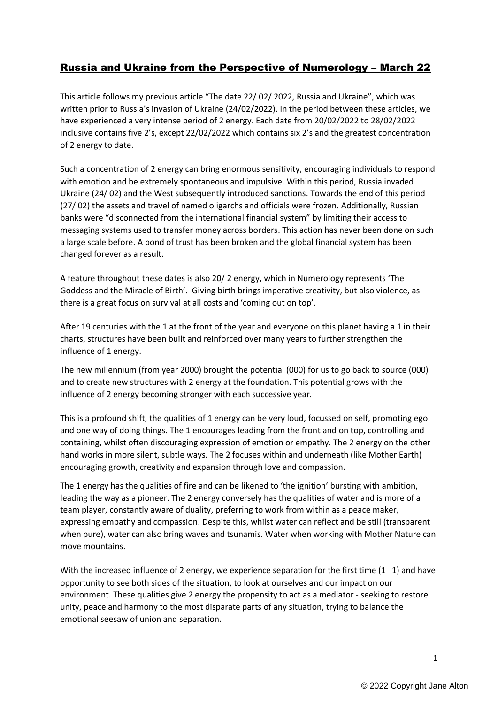## Russia and Ukraine from the Perspective of Numerology – March 22

This article follows my previous article "The date 22/ 02/ 2022, Russia and Ukraine", which was written prior to Russia's invasion of Ukraine (24/02/2022). In the period between these articles, we have experienced a very intense period of 2 energy. Each date from 20/02/2022 to 28/02/2022 inclusive contains five 2's, except 22/02/2022 which contains six 2's and the greatest concentration of 2 energy to date.

Such a concentration of 2 energy can bring enormous sensitivity, encouraging individuals to respond with emotion and be extremely spontaneous and impulsive. Within this period, Russia invaded Ukraine (24/ 02) and the West subsequently introduced sanctions. Towards the end of this period (27/ 02) the assets and travel of named oligarchs and officials were frozen. Additionally, Russian banks were "disconnected from the international financial system" by limiting their access to messaging systems used to transfer money across borders. This action has never been done on such a large scale before. A bond of trust has been broken and the global financial system has been changed forever as a result.

A feature throughout these dates is also 20/ 2 energy, which in Numerology represents 'The Goddess and the Miracle of Birth'. Giving birth brings imperative creativity, but also violence, as there is a great focus on survival at all costs and 'coming out on top'.

After 19 centuries with the 1 at the front of the year and everyone on this planet having a 1 in their charts, structures have been built and reinforced over many years to further strengthen the influence of 1 energy.

The new millennium (from year 2000) brought the potential (000) for us to go back to source (000) and to create new structures with 2 energy at the foundation. This potential grows with the influence of 2 energy becoming stronger with each successive year.

This is a profound shift, the qualities of 1 energy can be very loud, focussed on self, promoting ego and one way of doing things. The 1 encourages leading from the front and on top, controlling and containing, whilst often discouraging expression of emotion or empathy. The 2 energy on the other hand works in more silent, subtle ways. The 2 focuses within and underneath (like Mother Earth) encouraging growth, creativity and expansion through love and compassion.

The 1 energy has the qualities of fire and can be likened to 'the ignition' bursting with ambition, leading the way as a pioneer. The 2 energy conversely has the qualities of water and is more of a team player, constantly aware of duality, preferring to work from within as a peace maker, expressing empathy and compassion. Despite this, whilst water can reflect and be still (transparent when pure), water can also bring waves and tsunamis. Water when working with Mother Nature can move mountains.

With the increased influence of 2 energy, we experience separation for the first time (1 1) and have opportunity to see both sides of the situation, to look at ourselves and our impact on our environment. These qualities give 2 energy the propensity to act as a mediator - seeking to restore unity, peace and harmony to the most disparate parts of any situation, trying to balance the emotional seesaw of union and separation.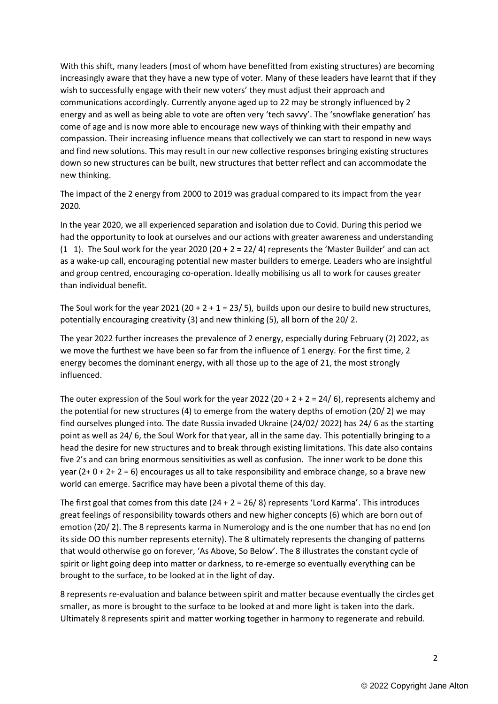With this shift, many leaders (most of whom have benefitted from existing structures) are becoming increasingly aware that they have a new type of voter. Many of these leaders have learnt that if they wish to successfully engage with their new voters' they must adjust their approach and communications accordingly. Currently anyone aged up to 22 may be strongly influenced by 2 energy and as well as being able to vote are often very 'tech savvy'. The 'snowflake generation' has come of age and is now more able to encourage new ways of thinking with their empathy and compassion. Their increasing influence means that collectively we can start to respond in new ways and find new solutions. This may result in our new collective responses bringing existing structures down so new structures can be built, new structures that better reflect and can accommodate the new thinking.

The impact of the 2 energy from 2000 to 2019 was gradual compared to its impact from the year 2020.

In the year 2020, we all experienced separation and isolation due to Covid. During this period we had the opportunity to look at ourselves and our actions with greater awareness and understanding (1 1). The Soul work for the year 2020 (20 + 2 = 22/ 4) represents the 'Master Builder' and can act as a wake-up call, encouraging potential new master builders to emerge. Leaders who are insightful and group centred, encouraging co-operation. Ideally mobilising us all to work for causes greater than individual benefit.

The Soul work for the year 2021 (20 + 2 + 1 = 23/ 5), builds upon our desire to build new structures, potentially encouraging creativity (3) and new thinking (5), all born of the 20/ 2.

The year 2022 further increases the prevalence of 2 energy, especially during February (2) 2022, as we move the furthest we have been so far from the influence of 1 energy. For the first time, 2 energy becomes the dominant energy, with all those up to the age of 21, the most strongly influenced.

The outer expression of the Soul work for the year 2022 (20 + 2 + 2 = 24/ 6), represents alchemy and the potential for new structures (4) to emerge from the watery depths of emotion (20/ 2) we may find ourselves plunged into. The date Russia invaded Ukraine (24/02/ 2022) has 24/ 6 as the starting point as well as 24/ 6, the Soul Work for that year, all in the same day. This potentially bringing to a head the desire for new structures and to break through existing limitations. This date also contains five 2's and can bring enormous sensitivities as well as confusion. The inner work to be done this year  $(2+0+2+2=6)$  encourages us all to take responsibility and embrace change, so a brave new world can emerge. Sacrifice may have been a pivotal theme of this day.

The first goal that comes from this date  $(24 + 2 = 26/ 8)$  represents 'Lord Karma'. This introduces great feelings of responsibility towards others and new higher concepts (6) which are born out of emotion (20/ 2). The 8 represents karma in Numerology and is the one number that has no end (on its side OO this number represents eternity). The 8 ultimately represents the changing of patterns that would otherwise go on forever, 'As Above, So Below'. The 8 illustrates the constant cycle of spirit or light going deep into matter or darkness, to re-emerge so eventually everything can be brought to the surface, to be looked at in the light of day.

8 represents re-evaluation and balance between spirit and matter because eventually the circles get smaller, as more is brought to the surface to be looked at and more light is taken into the dark. Ultimately 8 represents spirit and matter working together in harmony to regenerate and rebuild.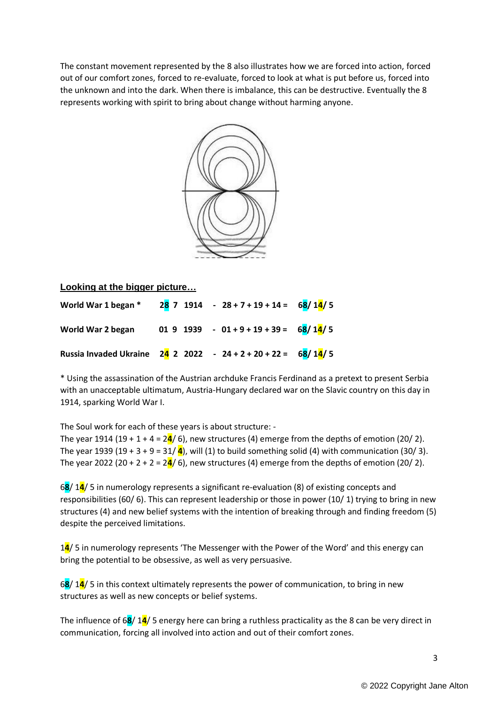The constant movement represented by the 8 also illustrates how we are forced into action, forced out of our comfort zones, forced to re-evaluate, forced to look at what is put before us, forced into the unknown and into the dark. When there is imbalance, this can be destructive. Eventually the 8 represents working with spirit to bring about change without harming anyone.



## **Looking at the bigger picture…**

| World War 1 began * 28 7 1914 - $28 + 7 + 19 + 14 = 68/14/5$    |                                          |  |
|-----------------------------------------------------------------|------------------------------------------|--|
| World War 2 began                                               | 01 9 1939 - 01 + 9 + 19 + 39 = $68/14/5$ |  |
| Russia Invaded Ukraine $24$ 2 2022 - 24 + 2 + 20 + 22 = 68/14/5 |                                          |  |

\* Using the assassination of the Austrian archduke Francis Ferdinand as a pretext to present Serbia with an unacceptable ultimatum, Austria-Hungary declared war on the Slavic country on this day in 1914, sparking World War I.

The Soul work for each of these years is about structure: -

The year 1914 (19 + 1 + 4 =  $24/$  6), new structures (4) emerge from the depths of emotion (20/ 2). The year 1939 (19 + 3 + 9 = 31/ $\frac{4}{1}$ ), will (1) to build something solid (4) with communication (30/3). The year 2022 (20 + 2 + 2 =  $24/$  6), new structures (4) emerge from the depths of emotion (20/ 2).

6**8**/ 1**4**/ 5 in numerology represents a significant re-evaluation (8) of existing concepts and responsibilities (60/ 6). This can represent leadership or those in power (10/ 1) trying to bring in new structures (4) and new belief systems with the intention of breaking through and finding freedom (5) despite the perceived limitations.

1**4**/ 5 in numerology represents 'The Messenger with the Power of the Word' and this energy can bring the potential to be obsessive, as well as very persuasive.

6**8**/ 1**4**/ 5 in this context ultimately represents the power of communication, to bring in new structures as well as new concepts or belief systems.

The influence of 6**8**/ 1**4**/ 5 energy here can bring a ruthless practicality as the 8 can be very direct in communication, forcing all involved into action and out of their comfort zones.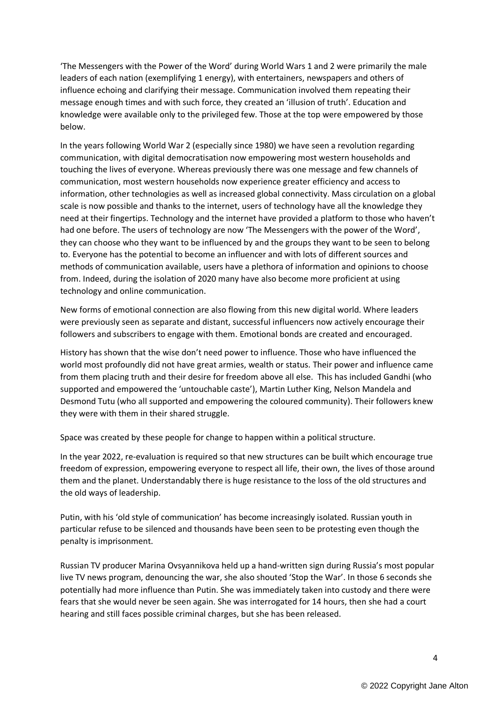'The Messengers with the Power of the Word' during World Wars 1 and 2 were primarily the male leaders of each nation (exemplifying 1 energy), with entertainers, newspapers and others of influence echoing and clarifying their message. Communication involved them repeating their message enough times and with such force, they created an 'illusion of truth'. Education and knowledge were available only to the privileged few. Those at the top were empowered by those below.

In the years following World War 2 (especially since 1980) we have seen a revolution regarding communication, with digital democratisation now empowering most western households and touching the lives of everyone. Whereas previously there was one message and few channels of communication, most western households now experience greater efficiency and access to information, other technologies as well as increased global connectivity. Mass circulation on a global scale is now possible and thanks to the internet, users of technology have all the knowledge they need at their fingertips. Technology and the internet have provided a platform to those who haven't had one before. The users of technology are now 'The Messengers with the power of the Word', they can choose who they want to be influenced by and the groups they want to be seen to belong to. Everyone has the potential to become an influencer and with lots of different sources and methods of communication available, users have a plethora of information and opinions to choose from. Indeed, during the isolation of 2020 many have also become more proficient at using technology and online communication.

New forms of emotional connection are also flowing from this new digital world. Where leaders were previously seen as separate and distant, successful influencers now actively encourage their followers and subscribers to engage with them. Emotional bonds are created and encouraged.

History has shown that the wise don't need power to influence. Those who have influenced the world most profoundly did not have great armies, wealth or status. Their power and influence came from them placing truth and their desire for freedom above all else. This has included Gandhi (who supported and empowered the 'untouchable caste'), Martin Luther King, Nelson Mandela and Desmond Tutu (who all supported and empowering the coloured community). Their followers knew they were with them in their shared struggle.

Space was created by these people for change to happen within a political structure.

In the year 2022, re-evaluation is required so that new structures can be built which encourage true freedom of expression, empowering everyone to respect all life, their own, the lives of those around them and the planet. Understandably there is huge resistance to the loss of the old structures and the old ways of leadership.

Putin, with his 'old style of communication' has become increasingly isolated. Russian youth in particular refuse to be silenced and thousands have been seen to be protesting even though the penalty is imprisonment.

Russian TV producer Marina Ovsyannikova held up a hand-written sign during Russia's most popular live TV news program, denouncing the war, she also shouted 'Stop the War'. In those 6 seconds she potentially had more influence than Putin. She was immediately taken into custody and there were fears that she would never be seen again. She was interrogated for 14 hours, then she had a court hearing and still faces possible criminal charges, but she has been released.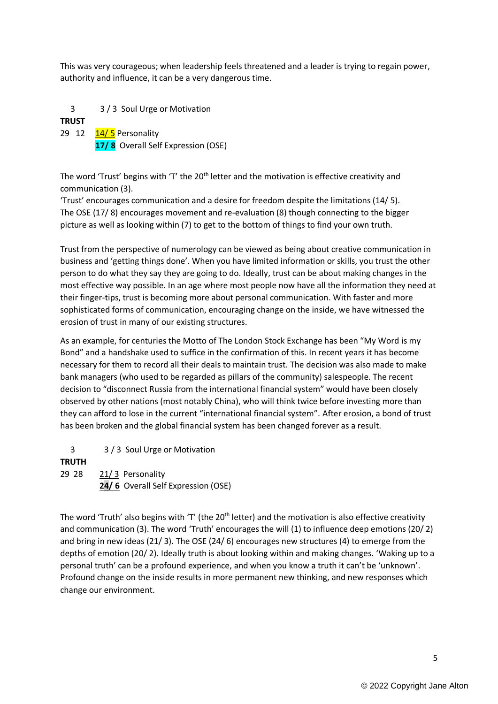This was very courageous; when leadership feels threatened and a leader is trying to regain power, authority and influence, it can be a very dangerous time.

 3 3 / 3 Soul Urge or Motivation **TRUST** 29 12 14/ 5 Personality

 **17/ 8** Overall Self Expression (OSE)

The word 'Trust' begins with 'T' the 20<sup>th</sup> letter and the motivation is effective creativity and communication (3).

'Trust' encourages communication and a desire for freedom despite the limitations (14/ 5). The OSE (17/ 8) encourages movement and re-evaluation (8) though connecting to the bigger picture as well as looking within (7) to get to the bottom of things to find your own truth.

Trust from the perspective of numerology can be viewed as being about creative communication in business and 'getting things done'. When you have limited information or skills, you trust the other person to do what they say they are going to do. Ideally, trust can be about making changes in the most effective way possible. In an age where most people now have all the information they need at their finger-tips, trust is becoming more about personal communication. With faster and more sophisticated forms of communication, encouraging change on the inside, we have witnessed the erosion of trust in many of our existing structures.

As an example, for centuries the Motto of The London Stock Exchange has been "My Word is my Bond" and a handshake used to suffice in the confirmation of this. In recent years it has become necessary for them to record all their deals to maintain trust. The decision was also made to make bank managers (who used to be regarded as pillars of the community) salespeople. The recent decision to "disconnect Russia from the international financial system" would have been closely observed by other nations (most notably China), who will think twice before investing more than they can afford to lose in the current "international financial system". After erosion, a bond of trust has been broken and the global financial system has been changed forever as a result.

3 3 / 3 Soul Urge or Motivation

## **TRUTH**

29 28 21/3 Personality **24/ 6** Overall Self Expression (OSE)

The word 'Truth' also begins with 'T' (the 20<sup>th</sup> letter) and the motivation is also effective creativity and communication (3). The word 'Truth' encourages the will (1) to influence deep emotions (20/ 2) and bring in new ideas (21/ 3). The OSE (24/ 6) encourages new structures (4) to emerge from the depths of emotion (20/ 2). Ideally truth is about looking within and making changes. 'Waking up to a personal truth' can be a profound experience, and when you know a truth it can't be 'unknown'. Profound change on the inside results in more permanent new thinking, and new responses which change our environment.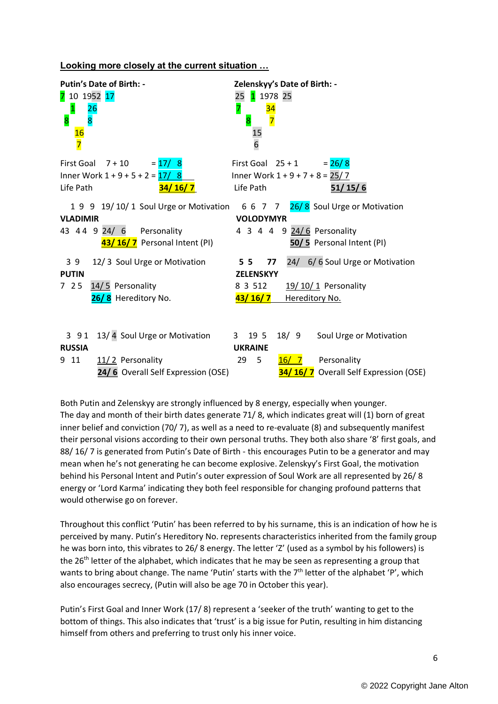## **Looking more closely at the current situation …**

| <b>Putin's Date of Birth: -</b><br>7 10 1952 17<br><b>26</b><br>$\mathbf{1}$<br>$\overline{8}$<br>8<br>$\frac{16}{7}$    | Zelenskyy's Date of Birth: -<br>1 1978 25<br>25<br>7<br><u>34</u><br>$\overline{7}$<br>$\overline{8}$<br>15<br>6                                          |
|--------------------------------------------------------------------------------------------------------------------------|-----------------------------------------------------------------------------------------------------------------------------------------------------------|
| First Goal $7 + 10$<br>$= 17/8$<br>Inner Work $1 + 9 + 5 + 2 = \frac{17}{8}$<br>Life Path<br><u>34/16/7</u>              | First Goal $25 + 1$<br>$= 26/8$<br>Inner Work $1 + 9 + 7 + 8 = 25/7$<br>Life Path<br>51/15/6                                                              |
| <b>VLADIMIR</b><br>43 44 9 24/ 6 Personality<br>43/16/7 Personal Intent (PI)                                             | 1 9 9 19/10/1 Soul Urge or Motivation 6 6 7 7 26/8 Soul Urge or Motivation<br><b>VOLODYMYR</b><br>4 3 4 4 9 24/6 Personality<br>50/5 Personal Intent (PI) |
| 12/3 Soul Urge or Motivation<br>39<br><b>PUTIN</b><br>725<br>14/5 Personality<br>26/8 Hereditory No.                     | 24/ 6/6 Soul Urge or Motivation<br>5 <sub>5</sub><br>77<br><b>ZELENSKYY</b><br>8 3 5 1 2<br>19/10/1 Personality<br><u>43/16/7</u><br>Hereditory No.       |
| 13/4 Soul Urge or Motivation<br>3 9 1<br><b>RUSSIA</b><br>11/2 Personality<br>9 11<br>24/6 Overall Self Expression (OSE) | 18/9<br>3 19 5<br>Soul Urge or Motivation<br><b>UKRAINE</b><br>16/7<br>29<br>5<br>Personality<br>34/16/7 Overall Self Expression (OSE)                    |

Both Putin and Zelenskyy are strongly influenced by 8 energy, especially when younger. The day and month of their birth dates generate 71/ 8, which indicates great will (1) born of great inner belief and conviction (70/ 7), as well as a need to re-evaluate (8) and subsequently manifest their personal visions according to their own personal truths. They both also share '8' first goals, and 88/ 16/ 7 is generated from Putin's Date of Birth - this encourages Putin to be a generator and may mean when he's not generating he can become explosive. Zelenskyy's First Goal, the motivation behind his Personal Intent and Putin's outer expression of Soul Work are all represented by 26/ 8 energy or 'Lord Karma' indicating they both feel responsible for changing profound patterns that would otherwise go on forever.

Throughout this conflict 'Putin' has been referred to by his surname, this is an indication of how he is perceived by many. Putin's Hereditory No. represents characteristics inherited from the family group he was born into, this vibrates to 26/8 energy. The letter 'Z' (used as a symbol by his followers) is the 26<sup>th</sup> letter of the alphabet, which indicates that he may be seen as representing a group that wants to bring about change. The name 'Putin' starts with the 7<sup>th</sup> letter of the alphabet 'P', which also encourages secrecy, (Putin will also be age 70 in October this year).

Putin's First Goal and Inner Work (17/ 8) represent a 'seeker of the truth' wanting to get to the bottom of things. This also indicates that 'trust' is a big issue for Putin, resulting in him distancing himself from others and preferring to trust only his inner voice.